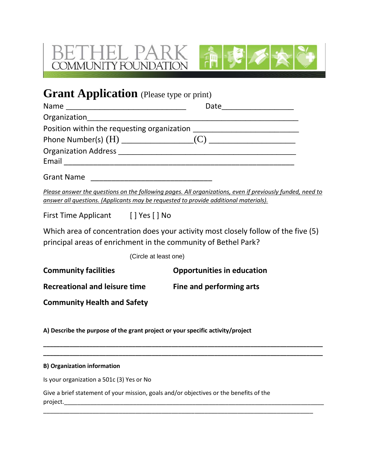



# **Grant Application** (Please type or print)

| answer all questions. (Applicants may be requested to provide additional materials). | Please answer the questions on the following pages. All organizations, even if previously funded, need to |
|--------------------------------------------------------------------------------------|-----------------------------------------------------------------------------------------------------------|
| First Time Applicant [] Yes [] No                                                    |                                                                                                           |
| principal areas of enrichment in the community of Bethel Park?                       | Which area of concentration does your activity most closely follow of the five (5)                        |
| (Circle at least one)                                                                |                                                                                                           |
| <b>Community facilities</b>                                                          | <b>Opportunities in education</b>                                                                         |
| Recreational and leisure time Fine and performing arts                               |                                                                                                           |
| <b>Community Health and Safety</b>                                                   |                                                                                                           |

**\_\_\_\_\_\_\_\_\_\_\_\_\_\_\_\_\_\_\_\_\_\_\_\_\_\_\_\_\_\_\_\_\_\_\_\_\_\_\_\_\_\_\_\_\_\_\_\_\_\_\_\_\_\_\_\_\_\_\_\_\_\_\_\_\_\_\_\_\_\_\_\_\_\_\_\_\_\_\_\_\_\_\_\_\_ \_\_\_\_\_\_\_\_\_\_\_\_\_\_\_\_\_\_\_\_\_\_\_\_\_\_\_\_\_\_\_\_\_\_\_\_\_\_\_\_\_\_\_\_\_\_\_\_\_\_\_\_\_\_\_\_\_\_\_\_\_\_\_\_\_\_\_\_\_\_\_\_\_\_\_\_\_\_\_\_\_\_\_\_\_**

\_\_\_\_\_\_\_\_\_\_\_\_\_\_\_\_\_\_\_\_\_\_\_\_\_\_\_\_\_\_\_\_\_\_\_\_\_\_\_\_\_\_\_\_\_\_\_\_\_\_\_\_\_\_\_\_\_\_\_\_\_\_\_\_\_\_\_\_\_\_\_\_\_\_\_\_\_\_\_\_\_\_

**A) Describe the purpose of the grant project or your specific activity/project** 

# **B) Organization information**

Is your organization a 501c (3) Yes or No

Give a brief statement of your mission, goals and/or objectives or the benefits of the project.\_\_\_\_\_\_\_\_\_\_\_\_\_\_\_\_\_\_\_\_\_\_\_\_\_\_\_\_\_\_\_\_\_\_\_\_\_\_\_\_\_\_\_\_\_\_\_\_\_\_\_\_\_\_\_\_\_\_\_\_\_\_\_\_\_\_\_\_\_\_\_\_\_\_\_\_\_\_\_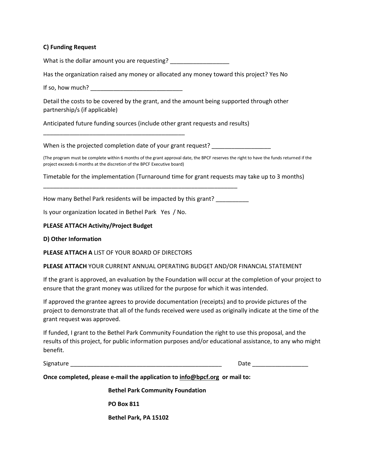## **C) Funding Request**

What is the dollar amount you are requesting? \_\_\_\_\_\_\_\_\_\_\_\_\_\_\_\_\_\_\_\_\_\_\_\_\_\_\_\_\_\_\_\_\_\_

Has the organization raised any money or allocated any money toward this project? Yes No

If so, how much?  $\blacksquare$ 

\_\_\_\_\_\_\_\_\_\_\_\_\_\_\_\_\_\_\_\_\_\_\_\_\_\_\_\_\_\_\_\_\_\_\_\_\_\_\_\_\_\_\_

Detail the costs to be covered by the grant, and the amount being supported through other partnership/s (if applicable)

Anticipated future funding sources (include other grant requests and results)

When is the projected completion date of your grant request?

(The program must be complete within 6 months of the grant approval date, the BPCF reserves the right to have the funds returned if the project exceeds 6 months at the discretion of the BPCF Executive board)

Timetable for the implementation (Turnaround time for grant requests may take up to 3 months)

How many Bethel Park residents will be impacted by this grant? \_\_\_\_\_\_\_\_\_\_

\_\_\_\_\_\_\_\_\_\_\_\_\_\_\_\_\_\_\_\_\_\_\_\_\_\_\_\_\_\_\_\_\_\_\_\_\_\_\_\_\_\_\_\_\_\_\_\_\_\_\_\_\_\_\_\_\_\_\_

Is your organization located in Bethel Park Yes / No.

### **PLEASE ATTACH Activity/Project Budget**

#### **D) Other Information**

**PLEASE ATTACH A** LIST OF YOUR BOARD OF DIRECTORS

#### **PLEASE ATTACH** YOUR CURRENT ANNUAL OPERATING BUDGET AND/OR FINANCIAL STATEMENT

If the grant is approved, an evaluation by the Foundation will occur at the completion of your project to ensure that the grant money was utilized for the purpose for which it was intended.

If approved the grantee agrees to provide documentation (receipts) and to provide pictures of the project to demonstrate that all of the funds received were used as originally indicate at the time of the grant request was approved.

If funded, I grant to the Bethel Park Community Foundation the right to use this proposal, and the results of this project, for public information purposes and/or educational assistance, to any who might benefit.

Signature **Example 20** and the set of the set of the set of the set of the set of the set of the set of the set of the set of the set of the set of the set of the set of the set of the set of the set of the set of the set

**Once completed, please e-mail the application to [info@bpcf.org](mailto:info@bpcf.org) or mail to:**

**Bethel Park Community Foundation**

**PO Box 811**

**Bethel Park, PA 15102**